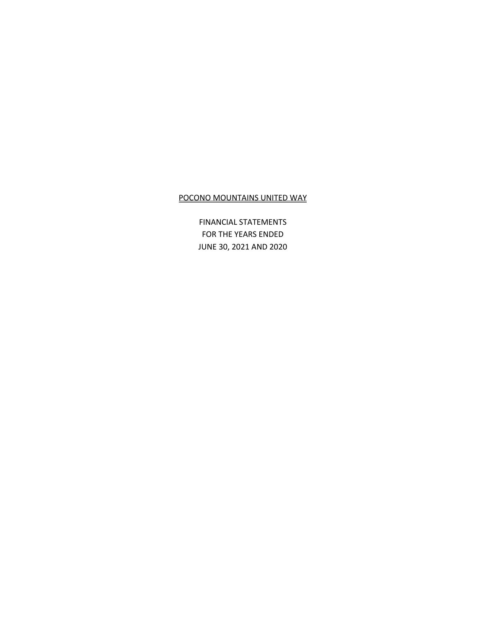FINANCIAL STATEMENTS FOR THE YEARS ENDED JUNE 30, 2021 AND 2020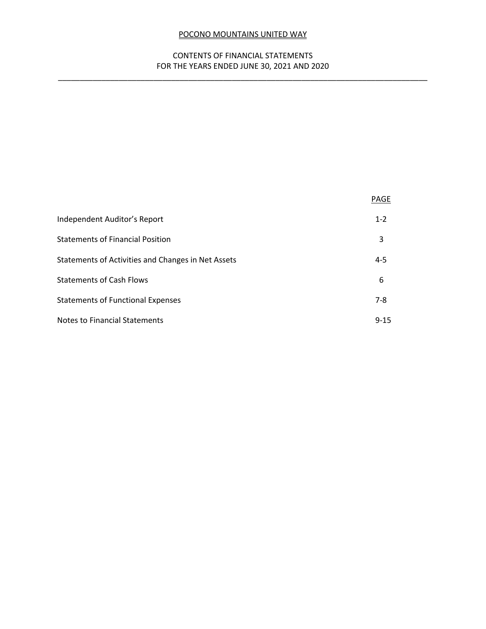## CONTENTS OF FINANCIAL STATEMENTS FOR THE YEARS ENDED JUNE 30, 2021 AND 2020 \_\_\_\_\_\_\_\_\_\_\_\_\_\_\_\_\_\_\_\_\_\_\_\_\_\_\_\_\_\_\_\_\_\_\_\_\_\_\_\_\_\_\_\_\_\_\_\_\_\_\_\_\_\_\_\_\_\_\_\_\_\_\_\_\_\_\_\_\_\_\_\_\_\_\_\_\_\_\_\_\_\_\_\_\_

|                                                    | <b>PAGE</b> |
|----------------------------------------------------|-------------|
| Independent Auditor's Report                       | $1 - 2$     |
| <b>Statements of Financial Position</b>            | 3           |
| Statements of Activities and Changes in Net Assets | $4 - 5$     |
| <b>Statements of Cash Flows</b>                    | 6           |
| <b>Statements of Functional Expenses</b>           | $7-8$       |
| <b>Notes to Financial Statements</b>               | $9 - 15$    |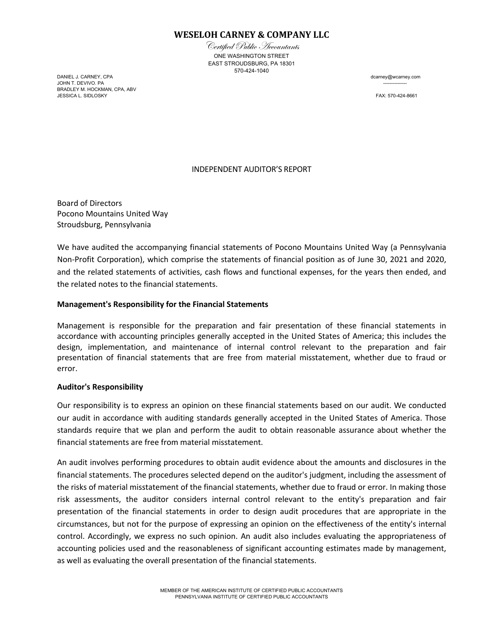# WESELOH CARNEY & COMPANY LLC

Certified Public Accountants ONE WASHINGTON STREET EAST STROUDSBURG, PA 18301 570-424-1040

DANIEL J. CARNEY, CPA dcarney@wcarney.com JOHN T. DEVIVO. PA --------------- BRADLEY M. HOCKMAN, CPA, ABV JESSICA L. SIDLOSKY FAX: 570-424-8661

## INDEPENDENT AUDITOR'S REPORT

Board of Directors Pocono Mountains United Way Stroudsburg, Pennsylvania

We have audited the accompanying financial statements of Pocono Mountains United Way (a Pennsylvania Non-Profit Corporation), which comprise the statements of financial position as of June 30, 2021 and 2020, and the related statements of activities, cash flows and functional expenses, for the years then ended, and the related notes to the financial statements.

## **Management's Responsibility for the Financial Statements**

Management is responsible for the preparation and fair presentation of these financial statements in accordance with accounting principles generally accepted in the United States of America; this includes the design, implementation, and maintenance of internal control relevant to the preparation and fair presentation of financial statements that are free from material misstatement, whether due to fraud or error.

## **Auditor's Responsibility**

Our responsibility is to express an opinion on these financial statements based on our audit. We conducted our audit in accordance with auditing standards generally accepted in the United States of America. Those standards require that we plan and perform the audit to obtain reasonable assurance about whether the financial statements are free from material misstatement.

An audit involves performing procedures to obtain audit evidence about the amounts and disclosures in the financial statements. The procedures selected depend on the auditor's judgment, including the assessment of the risks of material misstatement of the financial statements, whether due to fraud or error. In making those risk assessments, the auditor considers internal control relevant to the entity's preparation and fair presentation of the financial statements in order to design audit procedures that are appropriate in the circumstances, but not for the purpose of expressing an opinion on the effectiveness of the entity's internal control. Accordingly, we express no such opinion. An audit also includes evaluating the appropriateness of accounting policies used and the reasonableness of significant accounting estimates made by management, as well as evaluating the overall presentation of the financial statements.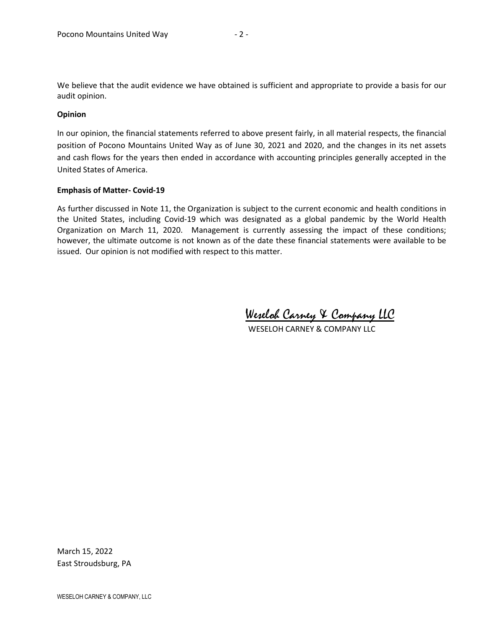We believe that the audit evidence we have obtained is sufficient and appropriate to provide a basis for our audit opinion.

### **Opinion**

In our opinion, the financial statements referred to above present fairly, in all material respects, the financial position of Pocono Mountains United Way as of June 30, 2021 and 2020, and the changes in its net assets and cash flows for the years then ended in accordance with accounting principles generally accepted in the United States of America.

## **Emphasis of Matter- Covid-19**

As further discussed in Note 11, the Organization is subject to the current economic and health conditions in the United States, including Covid-19 which was designated as a global pandemic by the World Health Organization on March 11, 2020. Management is currently assessing the impact of these conditions; however, the ultimate outcome is not known as of the date these financial statements were available to be issued. Our opinion is not modified with respect to this matter.

Weseloh Carney & Company LLC

WESELOH CARNEY & COMPANY LLC

March 15, 2022 East Stroudsburg, PA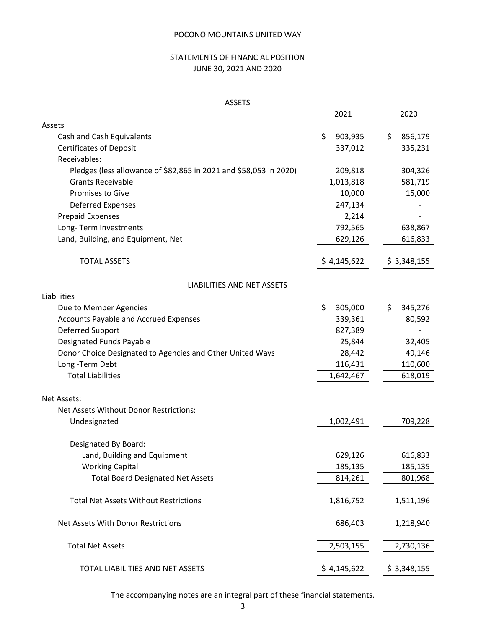# JUNE 30, 2021 AND 2020 STATEMENTS OF FINANCIAL POSITION

| <b>ASSETS</b>                                                     |               |               |
|-------------------------------------------------------------------|---------------|---------------|
|                                                                   | 2021          | 2020          |
| Assets                                                            |               |               |
| Cash and Cash Equivalents                                         | \$<br>903,935 | \$<br>856,179 |
| <b>Certificates of Deposit</b>                                    | 337,012       | 335,231       |
| Receivables:                                                      |               |               |
| Pledges (less allowance of \$82,865 in 2021 and \$58,053 in 2020) | 209,818       | 304,326       |
| <b>Grants Receivable</b>                                          | 1,013,818     | 581,719       |
| <b>Promises to Give</b>                                           | 10,000        | 15,000        |
| <b>Deferred Expenses</b>                                          | 247,134       |               |
| <b>Prepaid Expenses</b>                                           | 2,214         |               |
| Long-Term Investments                                             | 792,565       | 638,867       |
| Land, Building, and Equipment, Net                                | 629,126       | 616,833       |
| <b>TOTAL ASSETS</b>                                               | \$4,145,622   | \$3,348,155   |
| LIABILITIES AND NET ASSETS                                        |               |               |
| Liabilities                                                       |               |               |
| Due to Member Agencies                                            | \$<br>305,000 | \$<br>345,276 |
| Accounts Payable and Accrued Expenses                             | 339,361       | 80,592        |
| Deferred Support                                                  | 827,389       |               |
| Designated Funds Payable                                          | 25,844        | 32,405        |
| Donor Choice Designated to Agencies and Other United Ways         | 28,442        | 49,146        |
| Long - Term Debt                                                  | 116,431       | 110,600       |
| <b>Total Liabilities</b>                                          | 1,642,467     | 618,019       |
| <b>Net Assets:</b>                                                |               |               |
| Net Assets Without Donor Restrictions:                            |               |               |
| Undesignated                                                      | 1,002,491     | 709,228       |
| Designated By Board:                                              |               |               |
| Land, Building and Equipment                                      | 629,126       | 616,833       |
| <b>Working Capital</b>                                            | 185,135       | 185,135       |
| <b>Total Board Designated Net Assets</b>                          | 814,261       | 801,968       |
|                                                                   |               |               |
| <b>Total Net Assets Without Restrictions</b>                      | 1,816,752     | 1,511,196     |
| Net Assets With Donor Restrictions                                | 686,403       | 1,218,940     |
| <b>Total Net Assets</b>                                           | 2,503,155     | 2,730,136     |
| TOTAL LIABILITIES AND NET ASSETS                                  | \$4,145,622   | \$3,348,155   |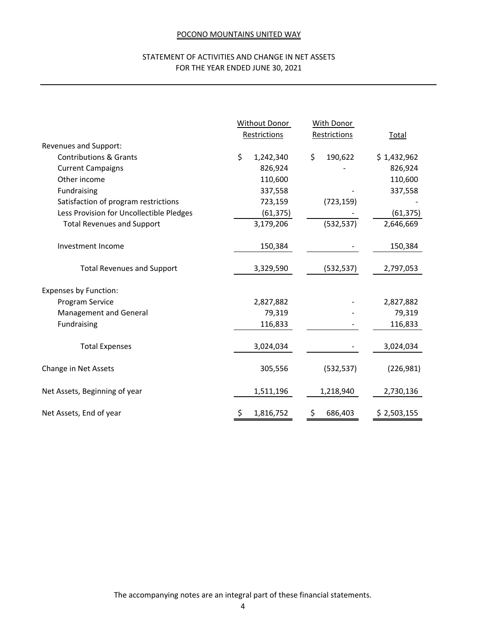# STATEMENT OF ACTIVITIES AND CHANGE IN NET ASSETS FOR THE YEAR ENDED JUNE 30, 2021

|                                          | <b>Without Donor</b> | <b>With Donor</b> |             |
|------------------------------------------|----------------------|-------------------|-------------|
|                                          | Restrictions         | Restrictions      | Total       |
| Revenues and Support:                    |                      |                   |             |
| <b>Contributions &amp; Grants</b>        | \$<br>1,242,340      | \$<br>190,622     | \$1,432,962 |
| <b>Current Campaigns</b>                 | 826,924              |                   | 826,924     |
| Other income                             | 110,600              |                   | 110,600     |
| Fundraising                              | 337,558              |                   | 337,558     |
| Satisfaction of program restrictions     | 723,159              | (723, 159)        |             |
| Less Provision for Uncollectible Pledges | (61, 375)            |                   | (61, 375)   |
| <b>Total Revenues and Support</b>        | 3,179,206            | (532, 537)        | 2,646,669   |
| Investment Income                        | 150,384              |                   | 150,384     |
| <b>Total Revenues and Support</b>        | 3,329,590            | (532, 537)        |             |
| <b>Expenses by Function:</b>             |                      |                   |             |
| Program Service                          | 2,827,882            |                   | 2,827,882   |
| Management and General                   | 79,319               |                   | 79,319      |
| Fundraising                              | 116,833              |                   | 116,833     |
| <b>Total Expenses</b>                    | 3,024,034            |                   | 3,024,034   |
| Change in Net Assets                     | 305,556              | (532, 537)        | (226, 981)  |
| Net Assets, Beginning of year            | 1,511,196            | 1,218,940         | 2,730,136   |
| Net Assets, End of year                  | 1,816,752<br>Ş       | 686,403<br>Ş      | \$2,503,155 |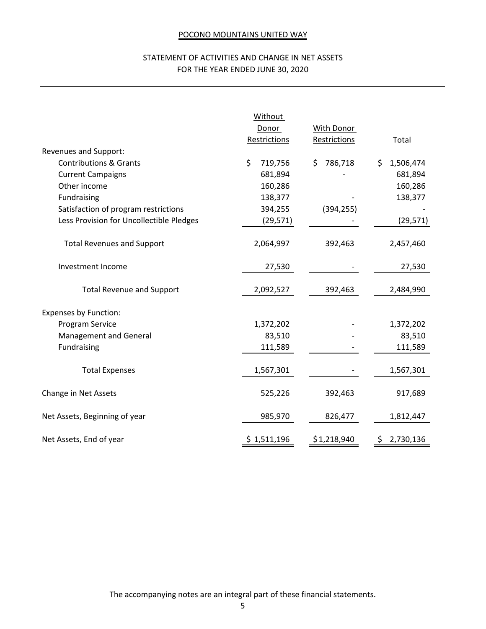# STATEMENT OF ACTIVITIES AND CHANGE IN NET ASSETS FOR THE YEAR ENDED JUNE 30, 2020

|                                          | Without               |                                   |                 |
|------------------------------------------|-----------------------|-----------------------------------|-----------------|
|                                          | Donor<br>Restrictions | <b>With Donor</b><br>Restrictions |                 |
| Revenues and Support:                    |                       |                                   | <b>Total</b>    |
| <b>Contributions &amp; Grants</b>        | \$                    |                                   |                 |
|                                          | 719,756               | 786,718<br>\$                     | \$<br>1,506,474 |
| <b>Current Campaigns</b>                 | 681,894               |                                   | 681,894         |
| Other income                             | 160,286               |                                   | 160,286         |
| Fundraising                              | 138,377               |                                   | 138,377         |
| Satisfaction of program restrictions     | 394,255               | (394, 255)                        |                 |
| Less Provision for Uncollectible Pledges | (29, 571)             |                                   | (29, 571)       |
| <b>Total Revenues and Support</b>        | 2,064,997             | 392,463                           | 2,457,460       |
| Investment Income                        | 27,530                |                                   | 27,530          |
| <b>Total Revenue and Support</b>         | 2,092,527             | 392,463                           | 2,484,990       |
| <b>Expenses by Function:</b>             |                       |                                   |                 |
| Program Service                          | 1,372,202             |                                   | 1,372,202       |
| <b>Management and General</b>            | 83,510                |                                   | 83,510          |
| Fundraising                              | 111,589               |                                   | 111,589         |
|                                          |                       |                                   |                 |
| <b>Total Expenses</b>                    | 1,567,301             |                                   | 1,567,301       |
| Change in Net Assets                     | 525,226               | 392,463                           | 917,689         |
| Net Assets, Beginning of year            | 985,970               | 826,477                           | 1,812,447       |
| Net Assets, End of year                  | \$1,511,196           | \$1,218,940                       | 2,730,136<br>\$ |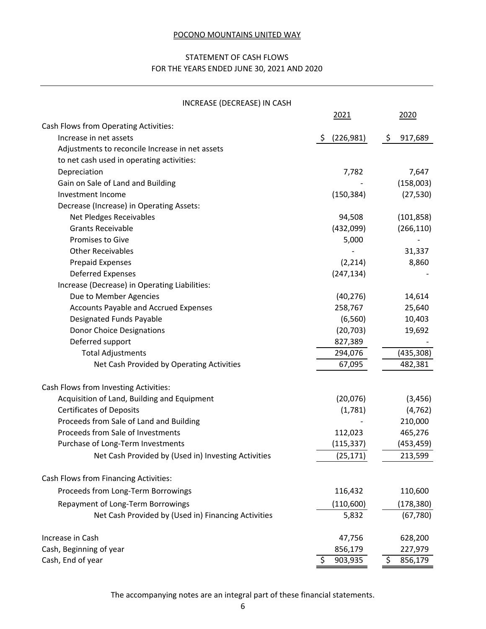# STATEMENT OF CASH FLOWS FOR THE YEARS ENDED JUNE 30, 2021 AND 2020

# INCREASE (DECREASE) IN CASH

|                                                     | 2021            | 2020          |
|-----------------------------------------------------|-----------------|---------------|
| Cash Flows from Operating Activities:               |                 |               |
| Increase in net assets                              | (226, 981)<br>S | \$<br>917,689 |
| Adjustments to reconcile Increase in net assets     |                 |               |
| to net cash used in operating activities:           |                 |               |
| Depreciation                                        | 7,782           | 7,647         |
| Gain on Sale of Land and Building                   |                 | (158,003)     |
| Investment Income                                   | (150, 384)      | (27, 530)     |
| Decrease (Increase) in Operating Assets:            |                 |               |
| <b>Net Pledges Receivables</b>                      | 94,508          | (101, 858)    |
| <b>Grants Receivable</b>                            | (432,099)       | (266, 110)    |
| <b>Promises to Give</b>                             | 5,000           |               |
| <b>Other Receivables</b>                            |                 | 31,337        |
| <b>Prepaid Expenses</b>                             | (2, 214)        | 8,860         |
| <b>Deferred Expenses</b>                            | (247, 134)      |               |
| Increase (Decrease) in Operating Liabilities:       |                 |               |
| Due to Member Agencies                              | (40, 276)       | 14,614        |
| <b>Accounts Payable and Accrued Expenses</b>        | 258,767         | 25,640        |
| Designated Funds Payable                            | (6, 560)        | 10,403        |
| <b>Donor Choice Designations</b>                    | (20, 703)       | 19,692        |
| Deferred support                                    | 827,389         |               |
| <b>Total Adjustments</b>                            | 294,076         | (435, 308)    |
| Net Cash Provided by Operating Activities           | 67,095          | 482,381       |
| Cash Flows from Investing Activities:               |                 |               |
| Acquisition of Land, Building and Equipment         | (20,076)        | (3, 456)      |
| <b>Certificates of Deposits</b>                     | (1,781)         | (4, 762)      |
| Proceeds from Sale of Land and Building             |                 | 210,000       |
| Proceeds from Sale of Investments                   | 112,023         | 465,276       |
| Purchase of Long-Term Investments                   | (115, 337)      | (453, 459)    |
| Net Cash Provided by (Used in) Investing Activities | (25, 171)       | 213,599       |
| Cash Flows from Financing Activities:               |                 |               |
| Proceeds from Long-Term Borrowings                  | 116,432         | 110,600       |
| Repayment of Long-Term Borrowings                   | (110, 600)      | (178, 380)    |
| Net Cash Provided by (Used in) Financing Activities | 5,832           | (67, 780)     |
|                                                     |                 |               |
| Increase in Cash                                    | 47,756          | 628,200       |
| Cash, Beginning of year                             | 856,179         | 227,979       |
| Cash, End of year                                   | 903,935<br>\$   | \$<br>856,179 |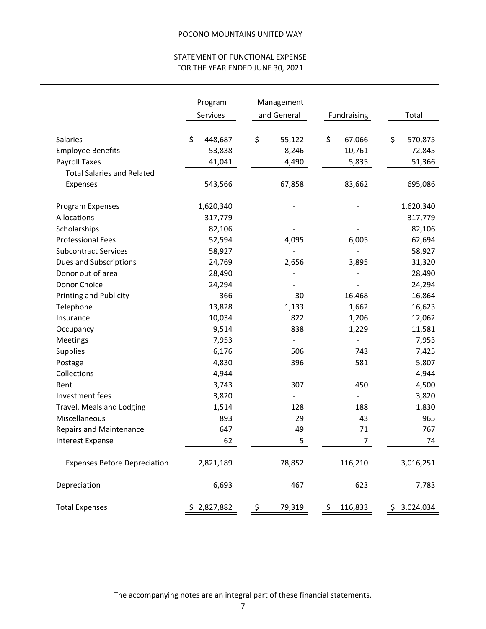# STATEMENT OF FUNCTIONAL EXPENSE FOR THE YEAR ENDED JUNE 30, 2021

|                                                              | Program<br>Services               | Management<br>and General      | <b>Fundraising</b>              | Total                             |
|--------------------------------------------------------------|-----------------------------------|--------------------------------|---------------------------------|-----------------------------------|
| <b>Salaries</b><br><b>Employee Benefits</b><br>Payroll Taxes | \$<br>448,687<br>53,838<br>41,041 | \$<br>55,122<br>8,246<br>4,490 | \$<br>67,066<br>10,761<br>5,835 | \$<br>570,875<br>72,845<br>51,366 |
| <b>Total Salaries and Related</b>                            |                                   |                                |                                 |                                   |
| Expenses                                                     | 543,566                           | 67,858                         | 83,662                          | 695,086                           |
| Program Expenses                                             | 1,620,340                         |                                |                                 | 1,620,340                         |
| Allocations                                                  | 317,779                           |                                |                                 | 317,779                           |
| Scholarships                                                 | 82,106                            |                                |                                 | 82,106                            |
| <b>Professional Fees</b>                                     | 52,594                            | 4,095                          | 6,005                           | 62,694                            |
| <b>Subcontract Services</b>                                  | 58,927                            |                                |                                 | 58,927                            |
| Dues and Subscriptions                                       | 24,769                            | 2,656                          | 3,895                           | 31,320                            |
| Donor out of area                                            | 28,490                            |                                |                                 | 28,490                            |
| Donor Choice                                                 | 24,294                            |                                |                                 | 24,294                            |
| <b>Printing and Publicity</b>                                | 366                               | 30                             | 16,468                          | 16,864                            |
| Telephone                                                    | 13,828                            | 1,133                          | 1,662                           | 16,623                            |
| Insurance                                                    | 10,034                            | 822                            | 1,206                           | 12,062                            |
| Occupancy                                                    | 9,514                             | 838                            | 1,229                           | 11,581                            |
| Meetings                                                     | 7,953                             | $\blacksquare$                 |                                 | 7,953                             |
| Supplies                                                     | 6,176                             | 506                            | 743                             | 7,425                             |
| Postage                                                      | 4,830                             | 396                            | 581                             | 5,807                             |
| Collections                                                  | 4,944                             |                                |                                 | 4,944                             |
| Rent                                                         | 3,743                             | 307                            | 450                             | 4,500                             |
| Investment fees                                              | 3,820                             |                                |                                 | 3,820                             |
| Travel, Meals and Lodging                                    | 1,514                             | 128                            | 188                             | 1,830                             |
| Miscellaneous                                                | 893                               | 29                             | 43                              | 965                               |
| <b>Repairs and Maintenance</b>                               | 647                               | 49                             | 71                              | 767                               |
| <b>Interest Expense</b>                                      | 62                                | 5                              | 7                               | 74                                |
| <b>Expenses Before Depreciation</b>                          | 2,821,189                         | 78,852                         | 116,210                         | 3,016,251                         |
| Depreciation                                                 | 6,693                             | 467                            | 623                             | 7,783                             |
| <b>Total Expenses</b>                                        | \$2,827,882                       | \$<br>79,319                   | \$<br>116,833                   | 3,024,034<br>S.                   |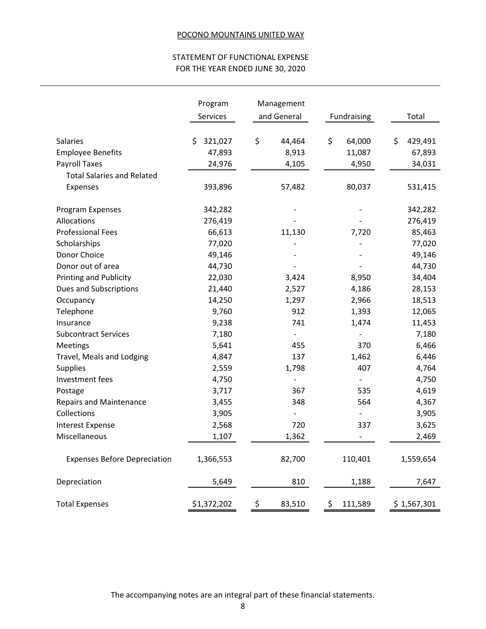# STATEMENT OF FUNCTIONAL EXPENSE FOR THE YEAR ENDED JUNE 30, 2020

|                                     | Program        | Management   |                          |               |  |
|-------------------------------------|----------------|--------------|--------------------------|---------------|--|
|                                     | Services       | and General  | Fundraising              | Total         |  |
|                                     |                |              |                          |               |  |
| Salaries                            | 321,027<br>\$. | \$<br>44,464 | \$<br>64,000             | \$<br>429,491 |  |
| <b>Employee Benefits</b>            | 47,893         | 8,913        | 11,087                   | 67,893        |  |
| Payroll Taxes                       | 24,976         | 4,105        | 4,950                    | 34,031        |  |
| <b>Total Salaries and Related</b>   |                |              |                          |               |  |
| Expenses                            | 393,896        | 57,482       | 80,037                   | 531,415       |  |
| Program Expenses                    | 342,282        |              |                          | 342,282       |  |
| Allocations                         | 276,419        |              |                          | 276,419       |  |
| <b>Professional Fees</b>            | 66,613         | 11,130       | 7,720                    | 85,463        |  |
| Scholarships                        | 77,020         |              |                          | 77,020        |  |
| Donor Choice                        | 49,146         |              |                          | 49,146        |  |
| Donor out of area                   | 44,730         |              |                          | 44,730        |  |
| <b>Printing and Publicity</b>       | 22,030         | 3,424        | 8,950                    | 34,404        |  |
| Dues and Subscriptions              | 21,440         | 2,527        | 4,186                    | 28,153        |  |
| Occupancy                           | 14,250         | 1,297        | 2,966                    | 18,513        |  |
| Telephone                           | 9,760          | 912          | 1,393                    | 12,065        |  |
| Insurance                           | 9,238          | 741          | 1,474                    | 11,453        |  |
| <b>Subcontract Services</b>         | 7,180          |              |                          | 7,180         |  |
| Meetings                            | 5,641          | 455          | 370                      | 6,466         |  |
| Travel, Meals and Lodging           | 4,847          | 137          | 1,462                    | 6,446         |  |
| <b>Supplies</b>                     | 2,559          | 1,798        | 407                      | 4,764         |  |
| Investment fees                     | 4,750          |              | $\overline{\phantom{a}}$ | 4,750         |  |
| Postage                             | 3,717          | 367          | 535                      | 4,619         |  |
| <b>Repairs and Maintenance</b>      | 3,455          | 348          | 564                      | 4,367         |  |
| Collections                         | 3,905          |              |                          | 3,905         |  |
| <b>Interest Expense</b>             | 2,568          | 720          | 337                      | 3,625         |  |
| Miscellaneous                       | 1,107          | 1,362        |                          | 2,469         |  |
| <b>Expenses Before Depreciation</b> | 1,366,553      | 82,700       | 110,401                  | 1,559,654     |  |
| Depreciation                        | 5,649          | 810          | 1,188                    | 7,647         |  |
| <b>Total Expenses</b>               | \$1,372,202    | \$<br>83,510 | \$<br>111,589            | \$1,567,301   |  |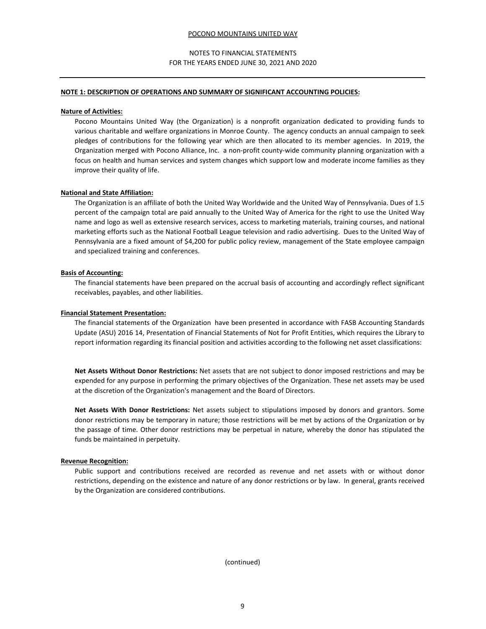NOTES TO FINANCIAL STATEMENTS FOR THE YEARS ENDED JUNE 30, 2021 AND 2020

#### **NOTE 1: DESCRIPTION OF OPERATIONS AND SUMMARY OF SIGNIFICANT ACCOUNTING POLICIES:**

#### **Nature of Activities:**

Pocono Mountains United Way (the Organization) is a nonprofit organization dedicated to providing funds to various charitable and welfare organizations in Monroe County. The agency conducts an annual campaign to seek pledges of contributions for the following year which are then allocated to its member agencies. In 2019, the Organization merged with Pocono Alliance, Inc. a non-profit county-wide community planning organization with a focus on health and human services and system changes which support low and moderate income families as they improve their quality of life.

#### **National and State Affiliation:**

The Organization is an affiliate of both the United Way Worldwide and the United Way of Pennsylvania. Dues of 1.5 percent of the campaign total are paid annually to the United Way of America for the right to use the United Way name and logo as well as extensive research services, access to marketing materials, training courses, and national marketing efforts such as the National Football League television and radio advertising. Dues to the United Way of Pennsylvania are a fixed amount of \$4,200 for public policy review, management of the State employee campaign and specialized training and conferences.

#### **Basis of Accounting:**

The financial statements have been prepared on the accrual basis of accounting and accordingly reflect significant receivables, payables, and other liabilities.

#### **Financial Statement Presentation:**

The financial statements of the Organization have been presented in accordance with FASB Accounting Standards Update (ASU) 2016 14, Presentation of Financial Statements of Not for Profit Entities, which requires the Library to report information regarding its financial position and activities according to the following net asset classifications:

**Net Assets Without Donor Restrictions:** Net assets that are not subject to donor imposed restrictions and may be expended for any purpose in performing the primary objectives of the Organization. These net assets may be used at the discretion of the Organization's management and the Board of Directors.

**Net Assets With Donor Restrictions:** Net assets subject to stipulations imposed by donors and grantors. Some donor restrictions may be temporary in nature; those restrictions will be met by actions of the Organization or by the passage of time. Other donor restrictions may be perpetual in nature, whereby the donor has stipulated the funds be maintained in perpetuity.

#### **Revenue Recognition:**

Public support and contributions received are recorded as revenue and net assets with or without donor restrictions, depending on the existence and nature of any donor restrictions or by law. In general, grants received by the Organization are considered contributions.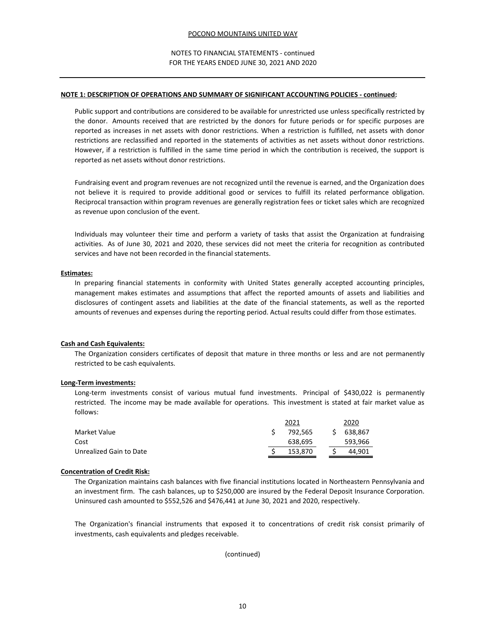### FOR THE YEARS ENDED JUNE 30, 2021 AND 2020 NOTES TO FINANCIAL STATEMENTS - continued

#### **NOTE 1: DESCRIPTION OF OPERATIONS AND SUMMARY OF SIGNIFICANT ACCOUNTING POLICIES - continued:**

Public support and contributions are considered to be available for unrestricted use unless specifically restricted by the donor. Amounts received that are restricted by the donors for future periods or for specific purposes are reported as increases in net assets with donor restrictions. When a restriction is fulfilled, net assets with donor restrictions are reclassified and reported in the statements of activities as net assets without donor restrictions. However, if a restriction is fulfilled in the same time period in which the contribution is received, the support is reported as net assets without donor restrictions.

Fundraising event and program revenues are not recognized until the revenue is earned, and the Organization does not believe it is required to provide additional good or services to fulfill its related performance obligation. Reciprocal transaction within program revenues are generally registration fees or ticket sales which are recognized as revenue upon conclusion of the event.

Individuals may volunteer their time and perform a variety of tasks that assist the Organization at fundraising activities. As of June 30, 2021 and 2020, these services did not meet the criteria for recognition as contributed services and have not been recorded in the financial statements.

#### **Estimates:**

In preparing financial statements in conformity with United States generally accepted accounting principles, management makes estimates and assumptions that affect the reported amounts of assets and liabilities and disclosures of contingent assets and liabilities at the date of the financial statements, as well as the reported amounts of revenues and expenses during the reporting period. Actual results could differ from those estimates.

#### **Cash and Cash Equivalents:**

The Organization considers certificates of deposit that mature in three months or less and are not permanently restricted to be cash equivalents.

#### **Long-Term investments:**

Long-term investments consist of various mutual fund investments. Principal of \$430,022 is permanently restricted. The income may be made available for operations. This investment is stated at fair market value as follows:

|                         | 2021    |  |  | 2020    |
|-------------------------|---------|--|--|---------|
| Market Value            | 792.565 |  |  | 638,867 |
| Cost                    | 638,695 |  |  | 593,966 |
| Unrealized Gain to Date | 153,870 |  |  | 44.901  |

#### **Concentration of Credit Risk:**

The Organization maintains cash balances with five financial institutions located in Northeastern Pennsylvania and an investment firm. The cash balances, up to \$250,000 are insured by the Federal Deposit Insurance Corporation. Uninsured cash amounted to \$552,526 and \$476,441 at June 30, 2021 and 2020, respectively.

The Organization's financial instruments that exposed it to concentrations of credit risk consist primarily of investments, cash equivalents and pledges receivable.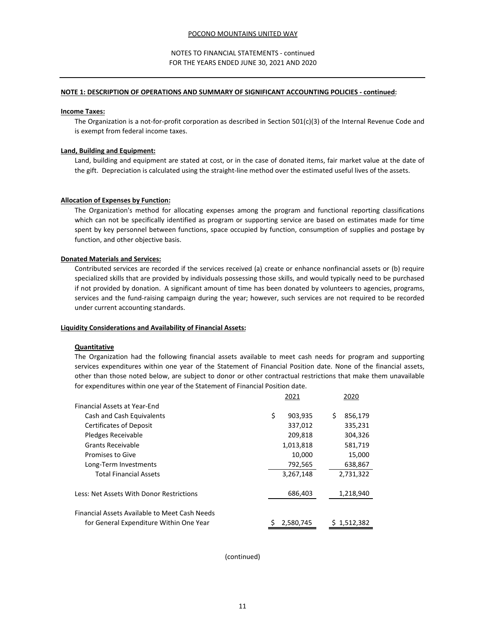NOTES TO FINANCIAL STATEMENTS - continued FOR THE YEARS ENDED JUNE 30, 2021 AND 2020

#### **NOTE 1: DESCRIPTION OF OPERATIONS AND SUMMARY OF SIGNIFICANT ACCOUNTING POLICIES - continued:**

#### **Income Taxes:**

The Organization is a not-for-profit corporation as described in Section 501(c)(3) of the Internal Revenue Code and is exempt from federal income taxes.

#### **Land, Building and Equipment:**

Land, building and equipment are stated at cost, or in the case of donated items, fair market value at the date of the gift. Depreciation is calculated using the straight-line method over the estimated useful lives of the assets.

#### **Allocation of Expenses by Function:**

The Organization's method for allocating expenses among the program and functional reporting classifications which can not be specifically identified as program or supporting service are based on estimates made for time spent by key personnel between functions, space occupied by function, consumption of supplies and postage by function, and other objective basis.

#### **Donated Materials and Services:**

Contributed services are recorded if the services received (a) create or enhance nonfinancial assets or (b) require specialized skills that are provided by individuals possessing those skills, and would typically need to be purchased if not provided by donation. A significant amount of time has been donated by volunteers to agencies, programs, services and the fund-raising campaign during the year; however, such services are not required to be recorded under current accounting standards.

#### **Liquidity Considerations and Availability of Financial Assets:**

#### **Quantitative**

The Organization had the following financial assets available to meet cash needs for program and supporting services expenditures within one year of the Statement of Financial Position date. None of the financial assets, other than those noted below, are subject to donor or other contractual restrictions that make them unavailable for expenditures within one year of the Statement of Financial Position date.

|                                               | 2021          | 2020        |
|-----------------------------------------------|---------------|-------------|
| Financial Assets at Year-End                  |               |             |
| Cash and Cash Equivalents                     | \$<br>903,935 | 856,179     |
| <b>Certificates of Deposit</b>                | 337,012       | 335,231     |
| Pledges Receivable                            | 209,818       | 304,326     |
| <b>Grants Receivable</b>                      | 1,013,818     | 581,719     |
| <b>Promises to Give</b>                       | 10,000        | 15,000      |
| Long-Term Investments                         | 792,565       | 638,867     |
| <b>Total Financial Assets</b>                 | 3,267,148     | 2,731,322   |
| Less: Net Assets With Donor Restrictions      | 686,403       | 1,218,940   |
| Financial Assets Available to Meet Cash Needs |               |             |
| for General Expenditure Within One Year       | 2,580,745     | \$1,512,382 |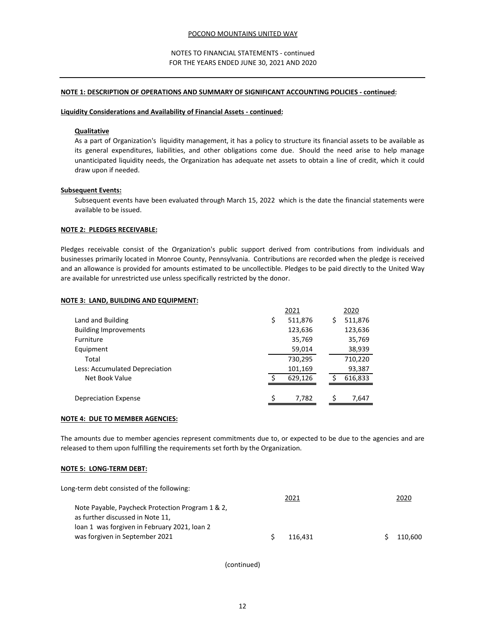### NOTES TO FINANCIAL STATEMENTS - continued FOR THE YEARS ENDED JUNE 30, 2021 AND 2020

#### **NOTE 1: DESCRIPTION OF OPERATIONS AND SUMMARY OF SIGNIFICANT ACCOUNTING POLICIES - continued:**

#### **Liquidity Considerations and Availability of Financial Assets - continued:**

#### **Qualitative**

As a part of Organization's liquidity management, it has a policy to structure its financial assets to be available as its general expenditures, liabilities, and other obligations come due. Should the need arise to help manage unanticipated liquidity needs, the Organization has adequate net assets to obtain a line of credit, which it could draw upon if needed.

#### **Subsequent Events:**

Subsequent events have been evaluated through March 15, 2022 which is the date the financial statements were available to be issued.

#### **NOTE 2: PLEDGES RECEIVABLE:**

Pledges receivable consist of the Organization's public support derived from contributions from individuals and businesses primarily located in Monroe County, Pennsylvania. Contributions are recorded when the pledge is received and an allowance is provided for amounts estimated to be uncollectible. Pledges to be paid directly to the United Way are available for unrestricted use unless specifically restricted by the donor.

#### **NOTE 3: LAND, BUILDING AND EQUIPMENT:**

|                                | 2021          | 2020          |
|--------------------------------|---------------|---------------|
| Land and Building              | \$<br>511,876 | \$<br>511,876 |
| <b>Building Improvements</b>   | 123,636       | 123,636       |
| Furniture                      | 35,769        | 35,769        |
| Equipment                      | 59,014        | 38,939        |
| Total                          | 730,295       | 710,220       |
| Less: Accumulated Depreciation | 101,169       | 93,387        |
| Net Book Value                 | 629,126       | 616,833       |
|                                |               |               |
| Depreciation Expense           | 7,782         | 7,647         |

#### **NOTE 4: DUE TO MEMBER AGENCIES:**

The amounts due to member agencies represent commitments due to, or expected to be due to the agencies and are released to them upon fulfilling the requirements set forth by the Organization.

#### **NOTE 5: LONG-TERM DEBT:**

| Long-term debt consisted of the following: |                                                  |         |  |         |
|--------------------------------------------|--------------------------------------------------|---------|--|---------|
|                                            |                                                  | 2021    |  | 2020    |
| as further discussed in Note 11,           | Note Payable, Paycheck Protection Program 1 & 2, |         |  |         |
|                                            | loan 1 was forgiven in February 2021, loan 2     |         |  |         |
| was forgiven in September 2021             |                                                  | 116.431 |  | 110,600 |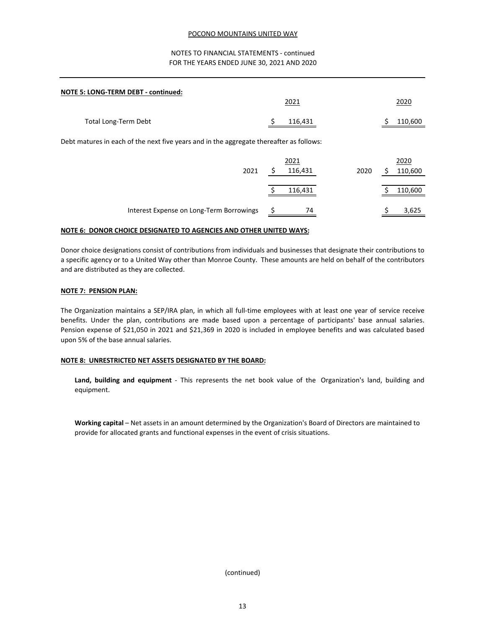### NOTES TO FINANCIAL STATEMENTS - continued FOR THE YEARS ENDED JUNE 30, 2021 AND 2020

| <b>NOTE 5: LONG-TERM DEBT - continued:</b>                                              |                 |      |   |                 |
|-----------------------------------------------------------------------------------------|-----------------|------|---|-----------------|
|                                                                                         | 2021            |      |   | 2020            |
| <b>Total Long-Term Debt</b>                                                             | 116,431         |      |   | 110,600         |
| Debt matures in each of the next five years and in the aggregate thereafter as follows: |                 |      |   |                 |
| 2021                                                                                    | 2021<br>116,431 | 2020 | s | 2020<br>110,600 |
|                                                                                         | 116,431         |      |   | 110,600         |
| Interest Expense on Long-Term Borrowings                                                | 74              |      |   | 3,625           |
|                                                                                         |                 |      |   |                 |

### **NOTE 6: DONOR CHOICE DESIGNATED TO AGENCIES AND OTHER UNITED WAYS:**

Donor choice designations consist of contributions from individuals and businesses that designate their contributions to a specific agency or to a United Way other than Monroe County. These amounts are held on behalf of the contributors and are distributed as they are collected.

#### **NOTE 7: PENSION PLAN:**

The Organization maintains a SEP/IRA plan, in which all full-time employees with at least one year of service receive benefits. Under the plan, contributions are made based upon a percentage of participants' base annual salaries. Pension expense of \$21,050 in 2021 and \$21,369 in 2020 is included in employee benefits and was calculated based upon 5% of the base annual salaries.

#### **NOTE 8: UNRESTRICTED NET ASSETS DESIGNATED BY THE BOARD:**

**Land, building and equipment** - This represents the net book value of the Organization's land, building and equipment.

**Working capital** – Net assets in an amount determined by the Organization's Board of Directors are maintained to provide for allocated grants and functional expenses in the event of crisis situations.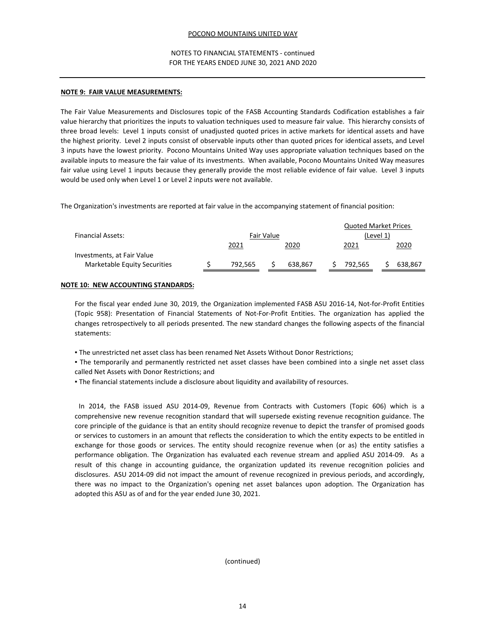### NOTES TO FINANCIAL STATEMENTS - continued FOR THE YEARS ENDED JUNE 30, 2021 AND 2020

#### **NOTE 9: FAIR VALUE MEASUREMENTS:**

The Fair Value Measurements and Disclosures topic of the FASB Accounting Standards Codification establishes a fair value hierarchy that prioritizes the inputs to valuation techniques used to measure fair value. This hierarchy consists of three broad levels: Level 1 inputs consist of unadjusted quoted prices in active markets for identical assets and have the highest priority. Level 2 inputs consist of observable inputs other than quoted prices for identical assets, and Level 3 inputs have the lowest priority. Pocono Mountains United Way uses appropriate valuation techniques based on the available inputs to measure the fair value of its investments. When available, Pocono Mountains United Way measures fair value using Level 1 inputs because they generally provide the most reliable evidence of fair value. Level 3 inputs would be used only when Level 1 or Level 2 inputs were not available.

The Organization's investments are reported at fair value in the accompanying statement of financial position:

|                              |            |         |  |         |  | <b>Quoted Market Prices</b><br>(Level 1) |  |         |  |
|------------------------------|------------|---------|--|---------|--|------------------------------------------|--|---------|--|
| <b>Financial Assets:</b>     | Fair Value |         |  |         |  |                                          |  |         |  |
|                              |            | 2021    |  | 2020    |  | 2021                                     |  | 2020    |  |
| Investments, at Fair Value   |            |         |  |         |  |                                          |  |         |  |
| Marketable Equity Securities |            | 792.565 |  | 638,867 |  | 792,565                                  |  | 638,867 |  |
|                              |            |         |  |         |  |                                          |  |         |  |

#### **NOTE 10: NEW ACCOUNTING STANDARDS:**

For the fiscal year ended June 30, 2019, the Organization implemented FASB ASU 2016-14, Not-for-Profit Entities (Topic 958): Presentation of Financial Statements of Not-For-Profit Entities. The organization has applied the changes retrospectively to all periods presented. The new standard changes the following aspects of the financial statements:

▪ The unrestricted net asset class has been renamed Net Assets Without Donor Restrictions;

▪ The temporarily and permanently restricted net asset classes have been combined into a single net asset class called Net Assets with Donor Restrictions; and

▪ The financial statements include a disclosure about liquidity and availability of resources.

In 2014, the FASB issued ASU 2014-09, Revenue from Contracts with Customers (Topic 606) which is a comprehensive new revenue recognition standard that will supersede existing revenue recognition guidance. The core principle of the guidance is that an entity should recognize revenue to depict the transfer of promised goods or services to customers in an amount that reflects the consideration to which the entity expects to be entitled in exchange for those goods or services. The entity should recognize revenue when (or as) the entity satisfies a performance obligation. The Organization has evaluated each revenue stream and applied ASU 2014-09. As a result of this change in accounting guidance, the organization updated its revenue recognition policies and disclosures. ASU 2014-09 did not impact the amount of revenue recognized in previous periods, and accordingly, there was no impact to the Organization's opening net asset balances upon adoption. The Organization has adopted this ASU as of and for the year ended June 30, 2021.